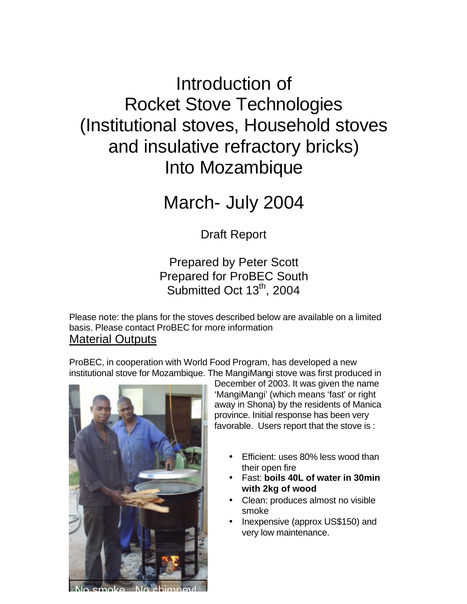# Introduction of Rocket Stove Technologies (Institutional stoves, Household stoves and insulative refractory bricks) Into Mozambique

# March- July 2004

Draft Report

## Prepared by Peter Scott Prepared for ProBEC South Submitted Oct  $13<sup>th</sup>$ , 2004

Please note: the plans for the stoves described below are available on a limited basis. Please contact ProBEC for more information Material Outputs

ProBEC, in cooperation with World Food Program, has developed a new institutional stove for Mozambique. The MangiMangi stove was first produced in



No smoke. No chimney!

December of 2003. It was given the name 'MangiMangi' (which means 'fast' or right away in Shona) by the residents of Manica province. Initial response has been very favorable. Users report that the stove is :

- Efficient: uses 80% less wood than their open fire
- Fast: **boils 40L of water in 30min with 2kg of wood**
- Clean: produces almost no visible smoke
- Inexpensive (approx US\$150) and very low maintenance.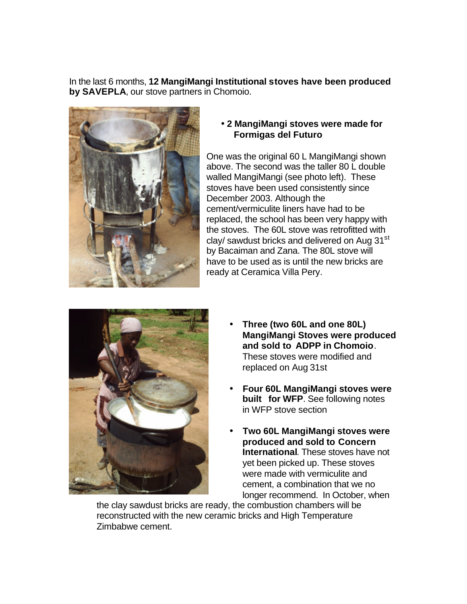In the last 6 months, **12 MangiMangi Institutional stoves have been produced by SAVEPLA**, our stove partners in Chomoio.



#### • **2 MangiMangi stoves were made for Formigas del Futuro**

One was the original 60 L MangiMangi shown above. The second was the taller 80 L double walled MangiMangi (see photo left). These stoves have been used consistently since December 2003. Although the cement/vermiculite liners have had to be replaced, the school has been very happy with the stoves. The 60L stove was retrofitted with clay/ sawdust bricks and delivered on Aug 31<sup>st</sup> by Bacaiman and Zana. The 80L stove will have to be used as is until the new bricks are ready at Ceramica Villa Pery.



- • **Three (two 60L and one 80L) MangiMangi Stoves were produced and sold to ADPP in Chomoio**. These stoves were modified and replaced on Aug 31st
- • **Four 60L MangiMangi stoves were built for WFP**. See following notes in WFP stove section
- • **Two 60L MangiMangi stoves were produced and sold to Concern International**. These stoves have not yet been picked up. These stoves were made with vermiculite and cement, a combination that we no longer recommend. In October, when

the clay sawdust bricks are ready, the combustion chambers will be reconstructed with the new ceramic bricks and High Temperature Zimbabwe cement.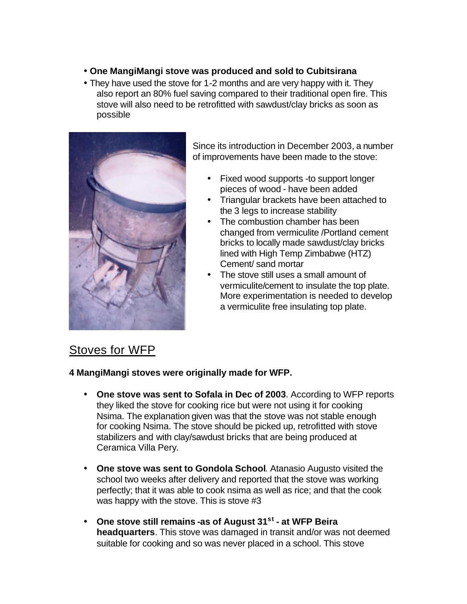- **One MangiMangi stove was produced and sold to Cubitsirana**
- They have used the stove for 1-2 months and are very happy with it. They also report an 80% fuel saving compared to their traditional open fire. This stove will also need to be retrofitted with sawdust/clay bricks as soon as possible



Since its introduction in December 2003, a number of improvements have been made to the stove:

- Fixed wood supports -to support longer pieces of wood - have been added
- Triangular brackets have been attached to the 3 legs to increase stability
- The combustion chamber has been changed from vermiculite /Portland cement bricks to locally made sawdust/clay bricks lined with High Temp Zimbabwe (HTZ) Cement/ sand mortar
- The stove still uses a small amount of vermiculite/cement to insulate the top plate. More experimentation is needed to develop a vermiculite free insulating top plate.

## Stoves for WFP

**4 MangiMangi stoves were originally made for WFP.** 

- **One stove was sent to Sofala in Dec of 2003**. According to WFP reports they liked the stove for cooking rice but were not using it for cooking Nsima. The explanation given was that the stove was not stable enough for cooking Nsima. The stove should be picked up, retrofitted with stove stabilizers and with clay/sawdust bricks that are being produced at Ceramica Villa Pery.
- **One stove was sent to Gondola School**. Atanasio Augusto visited the school two weeks after delivery and reported that the stove was working perfectly; that it was able to cook nsima as well as rice; and that the cook was happy with the stove. This is stove #3
- **One stove still remains -as of August 31st at WFP Beira headquarters**. This stove was damaged in transit and/or was not deemed suitable for cooking and so was never placed in a school. This stove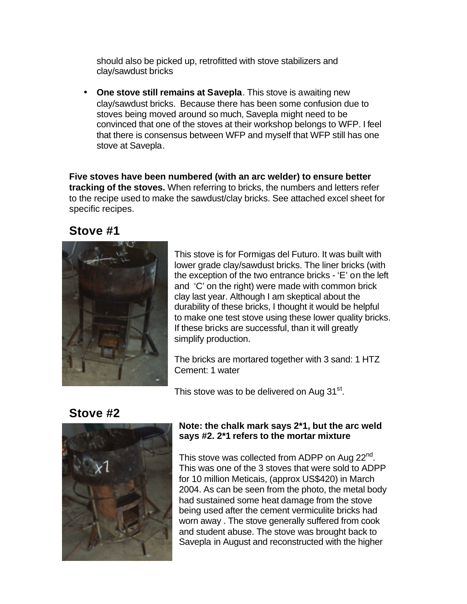should also be picked up, retrofitted with stove stabilizers and clay/sawdust bricks

• **One stove still remains at Savepla**. This stove is awaiting new clay/sawdust bricks. Because there has been some confusion due to stoves being moved around so much, Savepla might need to be convinced that one of the stoves at their workshop belongs to WFP. I feel that there is consensus between WFP and myself that WFP still has one stove at Savepla.

**Five stoves have been numbered (with an arc welder) to ensure better tracking of the stoves.** When referring to bricks, the numbers and letters refer to the recipe used to make the sawdust/clay bricks. See attached excel sheet for specific recipes.

## **Stove #1**



This stove is for Formigas del Futuro. It was built with lower grade clay/sawdust bricks. The liner bricks (with the exception of the two entrance bricks - 'E' on the left and 'C' on the right) were made with common brick clay last year. Although I am skeptical about the durability of these bricks, I thought it would be helpful to make one test stove using these lower quality bricks. If these bricks are successful, than it will greatly simplify production.

The bricks are mortared together with 3 sand: 1 HTZ Cement: 1 water

This stove was to be delivered on Aug 31<sup>st</sup>.

## **Stove #2**



#### **Note: the chalk mark says 2\*1, but the arc weld says #2. 2\*1 refers to the mortar mixture**

This stove was collected from ADPP on Aug 22<sup>nd</sup>. This was one of the 3 stoves that were sold to ADPP for 10 million Meticais, (approx US\$420) in March 2004. As can be seen from the photo, the metal body had sustained some heat damage from the stove being used after the cement vermiculite bricks had worn away . The stove generally suffered from cook and student abuse. The stove was brought back to Savepla in August and reconstructed with the higher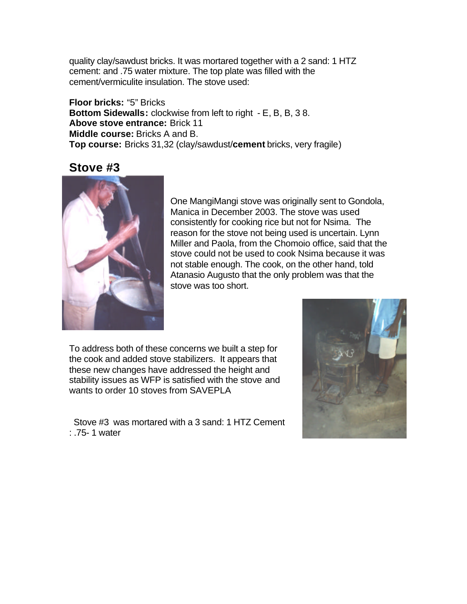quality clay/sawdust bricks. It was mortared together with a 2 sand: 1 HTZ cement: and .75 water mixture. The top plate was filled with the cement/vermiculite insulation. The stove used:

**Floor bricks:** "5" Bricks **Bottom Sidewalls:** clockwise from left to right - E, B, B, 3 8. **Above stove entrance:** Brick 11 **Middle course:** Bricks A and B. **Top course:** Bricks 31,32 (clay/sawdust/**cement** bricks, very fragile)

### **Stove #3**



One MangiMangi stove was originally sent to Gondola, Manica in December 2003. The stove was used consistently for cooking rice but not for Nsima. The reason for the stove not being used is uncertain. Lynn Miller and Paola, from the Chomoio office, said that the stove could not be used to cook Nsima because it was not stable enough. The cook, on the other hand, told Atanasio Augusto that the only problem was that the stove was too short.

To address both of these concerns we built a step for the cook and added stove stabilizers. It appears that these new changes have addressed the height and stability issues as WFP is satisfied with the stove and wants to order 10 stoves from SAVEPLA

 Stove #3 was mortared with a 3 sand: 1 HTZ Cement : .75- 1 water

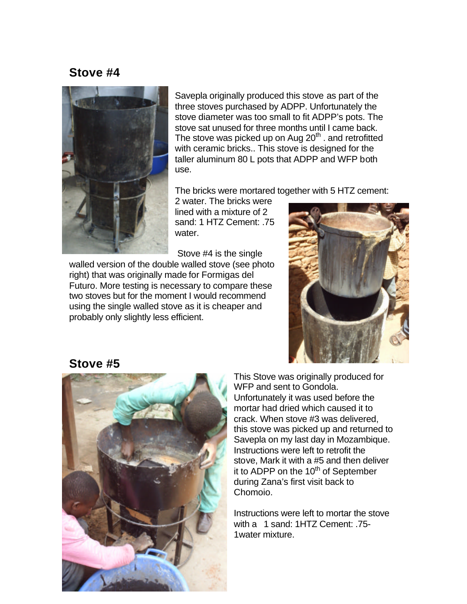## **Stove #4**



Savepla originally produced this stove as part of the three stoves purchased by ADPP. Unfortunately the stove diameter was too small to fit ADPP's pots. The stove sat unused for three months until I came back. The stove was picked up on Aug  $20<sup>th</sup>$  . and retrofitted with ceramic bricks.. This stove is designed for the taller aluminum 80 L pots that ADPP and WFP both use.

The bricks were mortared together with 5 HTZ cement:

2 water. The bricks were lined with a mixture of 2 sand: 1 HTZ Cement: .75 water.

Stove #4 is the single

walled version of the double walled stove (see photo right) that was originally made for Formigas del Futuro. More testing is necessary to compare these two stoves but for the moment I would recommend using the single walled stove as it is cheaper and probably only slightly less efficient.



## **Stove #5**



This Stove was originally produced for WFP and sent to Gondola. Unfortunately it was used before the mortar had dried which caused it to crack. When stove #3 was delivered, this stove was picked up and returned to Savepla on my last day in Mozambique. Instructions were left to retrofit the stove, Mark it with a #5 and then deliver it to ADPP on the  $10<sup>th</sup>$  of September during Zana's first visit back to Chomoio.

Instructions were left to mortar the stove with a 1 sand: 1HTZ Cement: .75- 1water mixture.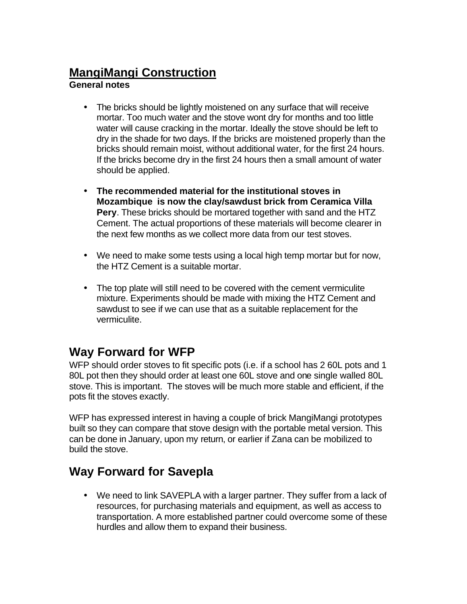# **MangiMangi Construction**

### **General notes**

- The bricks should be lightly moistened on any surface that will receive mortar. Too much water and the stove wont dry for months and too little water will cause cracking in the mortar. Ideally the stove should be left to dry in the shade for two days. If the bricks are moistened properly than the bricks should remain moist, without additional water, for the first 24 hours. If the bricks become dry in the first 24 hours then a small amount of water should be applied.
- **The recommended material for the institutional stoves in Mozambique is now the clay/sawdust brick from Ceramica Villa Pery**. These bricks should be mortared together with sand and the HTZ Cement. The actual proportions of these materials will become clearer in the next few months as we collect more data from our test stoves.
- We need to make some tests using a local high temp mortar but for now, the HTZ Cement is a suitable mortar.
- The top plate will still need to be covered with the cement vermiculite mixture. Experiments should be made with mixing the HTZ Cement and sawdust to see if we can use that as a suitable replacement for the vermiculite.

## **Way Forward for WFP**

WFP should order stoves to fit specific pots (i.e. if a school has 2 60L pots and 1 80L pot then they should order at least one 60L stove and one single walled 80L stove. This is important. The stoves will be much more stable and efficient, if the pots fit the stoves exactly.

WFP has expressed interest in having a couple of brick MangiMangi prototypes built so they can compare that stove design with the portable metal version. This can be done in January, upon my return, or earlier if Zana can be mobilized to build the stove.

## **Way Forward for Savepla**

• We need to link SAVEPLA with a larger partner. They suffer from a lack of resources, for purchasing materials and equipment, as well as access to transportation. A more established partner could overcome some of these hurdles and allow them to expand their business.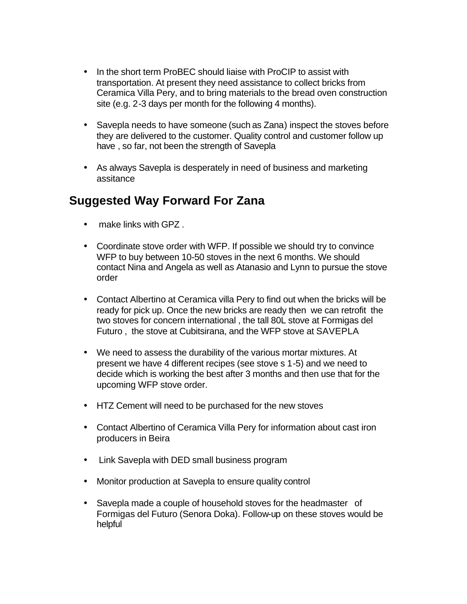- In the short term ProBEC should liaise with ProCIP to assist with transportation. At present they need assistance to collect bricks from Ceramica Villa Pery, and to bring materials to the bread oven construction site (e.g. 2-3 days per month for the following 4 months).
- Savepla needs to have someone (such as Zana) inspect the stoves before they are delivered to the customer. Quality control and customer follow up have , so far, not been the strength of Savepla
- As always Savepla is desperately in need of business and marketing assitance

## **Suggested Way Forward For Zana**

- make links with GPZ .
- Coordinate stove order with WFP. If possible we should try to convince WFP to buy between 10-50 stoves in the next 6 months. We should contact Nina and Angela as well as Atanasio and Lynn to pursue the stove order
- Contact Albertino at Ceramica villa Pery to find out when the bricks will be ready for pick up. Once the new bricks are ready then we can retrofit the two stoves for concern international , the tall 80L stove at Formigas del Futuro , the stove at Cubitsirana, and the WFP stove at SAVEPLA
- We need to assess the durability of the various mortar mixtures. At present we have 4 different recipes (see stove s 1-5) and we need to decide which is working the best after 3 months and then use that for the upcoming WFP stove order.
- HTZ Cement will need to be purchased for the new stoves
- Contact Albertino of Ceramica Villa Pery for information about cast iron producers in Beira
- Link Savepla with DED small business program
- Monitor production at Savepla to ensure quality control
- Savepla made a couple of household stoves for the headmaster of Formigas del Futuro (Senora Doka). Follow-up on these stoves would be helpful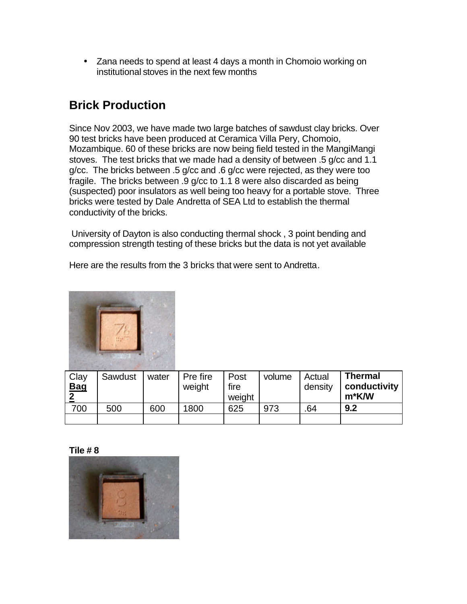• Zana needs to spend at least 4 days a month in Chomoio working on institutional stoves in the next few months

# **Brick Production**

Since Nov 2003, we have made two large batches of sawdust clay bricks. Over 90 test bricks have been produced at Ceramica Villa Pery, Chomoio, Mozambique. 60 of these bricks are now being field tested in the MangiMangi stoves. The test bricks that we made had a density of between .5 g/cc and 1.1 g/cc. The bricks between .5 g/cc and .6 g/cc were rejected, as they were too fragile. The bricks between .9 g/cc to 1.1 8 were also discarded as being (suspected) poor insulators as well being too heavy for a portable stove. Three bricks were tested by Dale Andretta of SEA Ltd to establish the thermal conductivity of the bricks.

 University of Dayton is also conducting thermal shock , 3 point bending and compression strength testing of these bricks but the data is not yet available

Here are the results from the 3 bricks that were sent to Andretta.



| Clay<br><b>Bag</b> | Sawdust | water | Pre fire<br>weight | Post<br>fire<br>weight | volume | Actual<br>density | <b>Thermal</b><br>conductivity<br>m*K/W |
|--------------------|---------|-------|--------------------|------------------------|--------|-------------------|-----------------------------------------|
| 700                | 500     | 600   | 1800               | 625                    | 973    | .64               | 9.2                                     |
|                    |         |       |                    |                        |        |                   |                                         |

#### **Tile # 8**

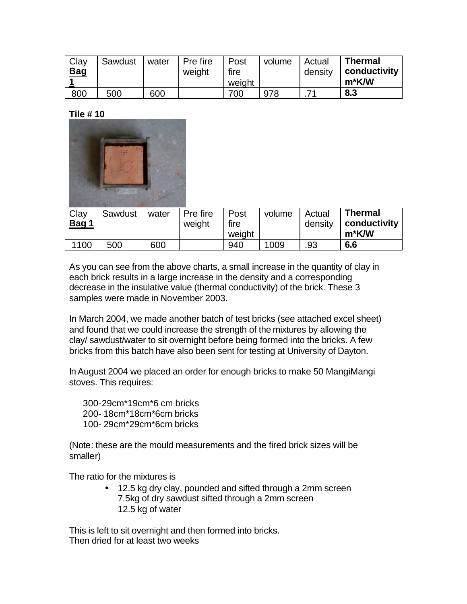| Clay<br><b>Bag</b> | Sawdust | water | <b>Pre fire</b><br>weight | Post<br>fire | volume | Actual<br>density | <b>Thermal</b><br>conductivity |
|--------------------|---------|-------|---------------------------|--------------|--------|-------------------|--------------------------------|
|                    |         |       |                           | weight       |        |                   | m*K/W                          |
| 800                | 500     | 600   |                           | 700          | 978    |                   | 8.3                            |

**Tile # 10**



| Clay<br><u>Bag 1</u> | Sawdust | water | Pre fire<br>weight | Post<br>fire<br>weight | volume | Actual<br>density | <b>Thermal</b><br>conductivity<br>m*K/W |
|----------------------|---------|-------|--------------------|------------------------|--------|-------------------|-----------------------------------------|
| 1100                 | 500     | 600   |                    | 940                    | 1009   | .93               | 6.6                                     |

As you can see from the above charts, a small increase in the quantity of clay in each brick results in a large increase in the density and a corresponding decrease in the insulative value (thermal conductivity) of the brick. These 3 samples were made in November 2003.

In March 2004, we made another batch of test bricks (see attached excel sheet) and found that we could increase the strength of the mixtures by allowing the clay/ sawdust/water to sit overnight before being formed into the bricks. A few bricks from this batch have also been sent for testing at University of Dayton.

In August 2004 we placed an order for enough bricks to make 50 MangiMangi stoves. This requires:

300-29cm\*19cm\*6 cm bricks 200- 18cm\*18cm\*6cm bricks 100- 29cm\*29cm\*6cm bricks

(Note: these are the mould measurements and the fired brick sizes will be smaller)

The ratio for the mixtures is

• 12.5 kg dry clay, pounded and sifted through a 2mm screen 7.5kg of dry sawdust sifted through a 2mm screen 12.5 kg of water

This is left to sit overnight and then formed into bricks. Then dried for at least two weeks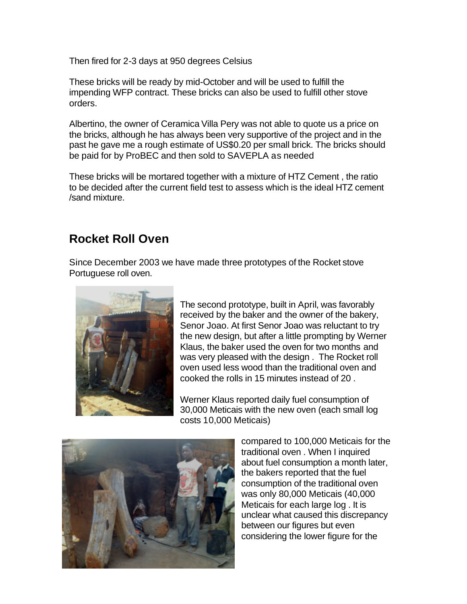Then fired for 2-3 days at 950 degrees Celsius

These bricks will be ready by mid-October and will be used to fulfill the impending WFP contract. These bricks can also be used to fulfill other stove orders.

Albertino, the owner of Ceramica Villa Pery was not able to quote us a price on the bricks, although he has always been very supportive of the project and in the past he gave me a rough estimate of US\$0.20 per small brick. The bricks should be paid for by ProBEC and then sold to SAVEPLA as needed

These bricks will be mortared together with a mixture of HTZ Cement , the ratio to be decided after the current field test to assess which is the ideal HTZ cement /sand mixture.

## **Rocket Roll Oven**

Since December 2003 we have made three prototypes of the Rocket stove Portuguese roll oven.



The second prototype, built in April, was favorably received by the baker and the owner of the bakery, Senor Joao. At first Senor Joao was reluctant to try the new design, but after a little prompting by Werner Klaus, the baker used the oven for two months and was very pleased with the design . The Rocket roll oven used less wood than the traditional oven and cooked the rolls in 15 minutes instead of 20 .

Werner Klaus reported daily fuel consumption of 30,000 Meticais with the new oven (each small log costs 10,000 Meticais)



compared to 100,000 Meticais for the traditional oven . When I inquired about fuel consumption a month later, the bakers reported that the fuel consumption of the traditional oven was only 80,000 Meticais (40,000 Meticais for each large log . It is unclear what caused this discrepancy between our figures but even considering the lower figure for the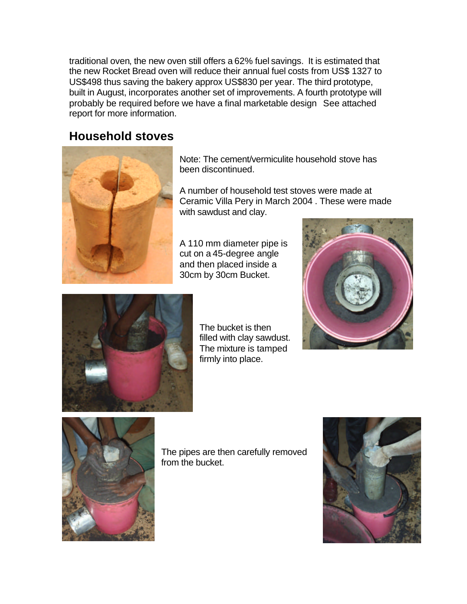traditional oven, the new oven still offers a 62% fuel savings. It is estimated that the new Rocket Bread oven will reduce their annual fuel costs from US\$ 1327 to US\$498 thus saving the bakery approx US\$830 per year. The third prototype, built in August, incorporates another set of improvements. A fourth prototype will probably be required before we have a final marketable design See attached report for more information.

## **Household stoves**



Note: The cement/vermiculite household stove has been discontinued.

A number of household test stoves were made at Ceramic Villa Pery in March 2004 . These were made with sawdust and clay.

A 110 mm diameter pipe is cut on a 45-degree angle and then placed inside a 30cm by 30cm Bucket.





The bucket is then filled with clay sawdust. The mixture is tamped firmly into place.



The pipes are then carefully removed from the bucket.